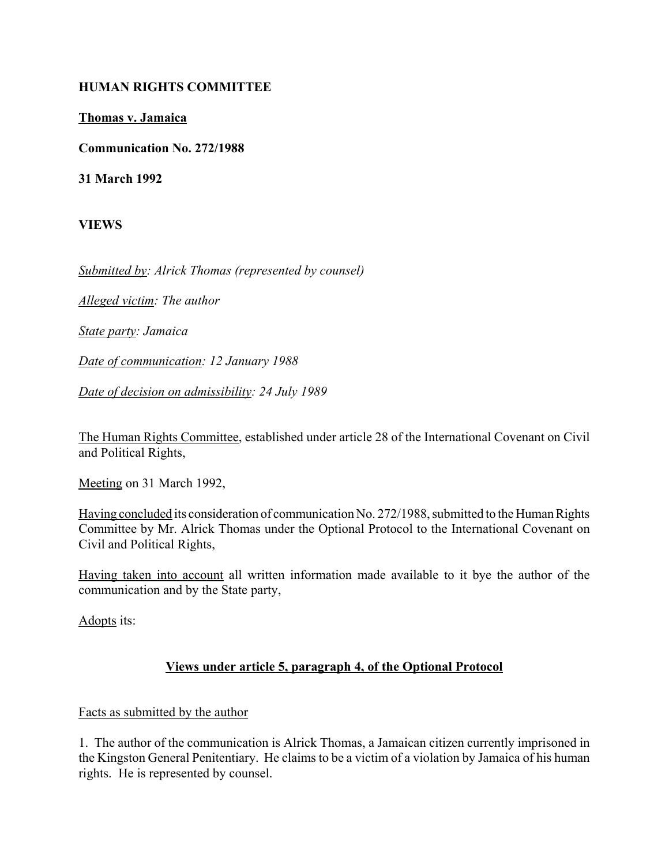#### **HUMAN RIGHTS COMMITTEE**

#### **Thomas v. Jamaica**

**Communication No. 272/1988**

**31 March 1992**

**VIEWS**

*Submitted by: Alrick Thomas (represented by counsel)*

*Alleged victim: The author*

*State party: Jamaica*

*Date of communication: 12 January 1988*

*Date of decision on admissibility: 24 July 1989*

The Human Rights Committee, established under article 28 of the International Covenant on Civil and Political Rights,

Meeting on 31 March 1992,

Having concluded its consideration of communication No. 272/1988, submitted to the Human Rights Committee by Mr. Alrick Thomas under the Optional Protocol to the International Covenant on Civil and Political Rights,

Having taken into account all written information made available to it bye the author of the communication and by the State party,

Adopts its:

# **Views under article 5, paragraph 4, of the Optional Protocol**

#### Facts as submitted by the author

1. The author of the communication is Alrick Thomas, a Jamaican citizen currently imprisoned in the Kingston General Penitentiary. He claims to be a victim of a violation by Jamaica of his human rights. He is represented by counsel.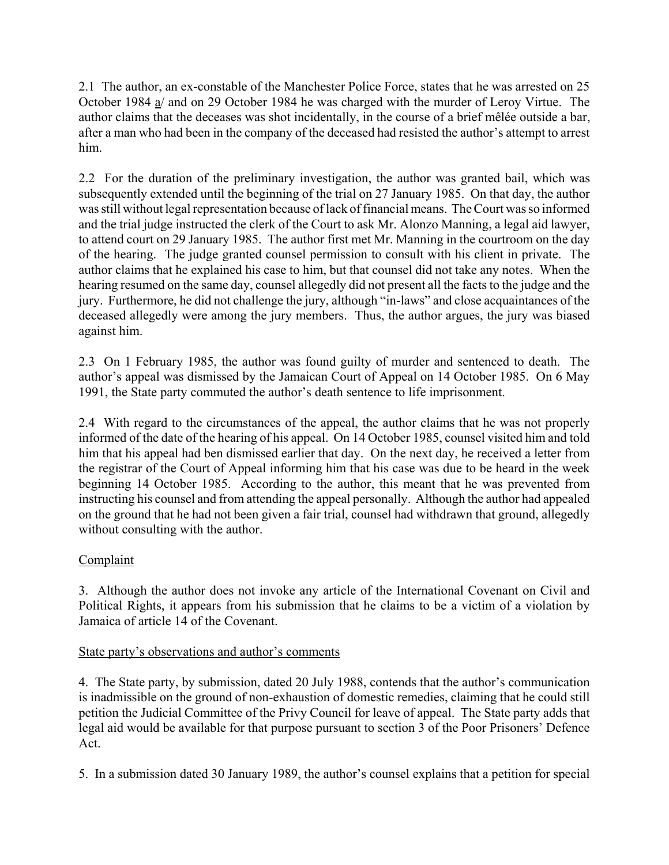2.1 The author, an ex-constable of the Manchester Police Force, states that he was arrested on 25 October 1984 a/ and on 29 October 1984 he was charged with the murder of Leroy Virtue. The author claims that the deceases was shot incidentally, in the course of a brief mêlée outside a bar, after a man who had been in the company of the deceased had resisted the author's attempt to arrest him.

2.2 For the duration of the preliminary investigation, the author was granted bail, which was subsequently extended until the beginning of the trial on 27 January 1985. On that day, the author was still without legal representation because of lack of financial means. The Court was so informed and the trial judge instructed the clerk of the Court to ask Mr. Alonzo Manning, a legal aid lawyer, to attend court on 29 January 1985. The author first met Mr. Manning in the courtroom on the day of the hearing. The judge granted counsel permission to consult with his client in private. The author claims that he explained his case to him, but that counsel did not take any notes. When the hearing resumed on the same day, counsel allegedly did not present all the facts to the judge and the jury. Furthermore, he did not challenge the jury, although "in-laws" and close acquaintances of the deceased allegedly were among the jury members. Thus, the author argues, the jury was biased against him.

2.3 On 1 February 1985, the author was found guilty of murder and sentenced to death. The author's appeal was dismissed by the Jamaican Court of Appeal on 14 October 1985. On 6 May 1991, the State party commuted the author's death sentence to life imprisonment.

2.4 With regard to the circumstances of the appeal, the author claims that he was not properly informed of the date of the hearing of his appeal. On 14 October 1985, counsel visited him and told him that his appeal had ben dismissed earlier that day. On the next day, he received a letter from the registrar of the Court of Appeal informing him that his case was due to be heard in the week beginning 14 October 1985. According to the author, this meant that he was prevented from instructing his counsel and from attending the appeal personally. Although the author had appealed on the ground that he had not been given a fair trial, counsel had withdrawn that ground, allegedly without consulting with the author.

# **Complaint**

3. Although the author does not invoke any article of the International Covenant on Civil and Political Rights, it appears from his submission that he claims to be a victim of a violation by Jamaica of article 14 of the Covenant.

### State party's observations and author's comments

4. The State party, by submission, dated 20 July 1988, contends that the author's communication is inadmissible on the ground of non-exhaustion of domestic remedies, claiming that he could still petition the Judicial Committee of the Privy Council for leave of appeal. The State party adds that legal aid would be available for that purpose pursuant to section 3 of the Poor Prisoners' Defence Act.

5. In a submission dated 30 January 1989, the author's counsel explains that a petition for special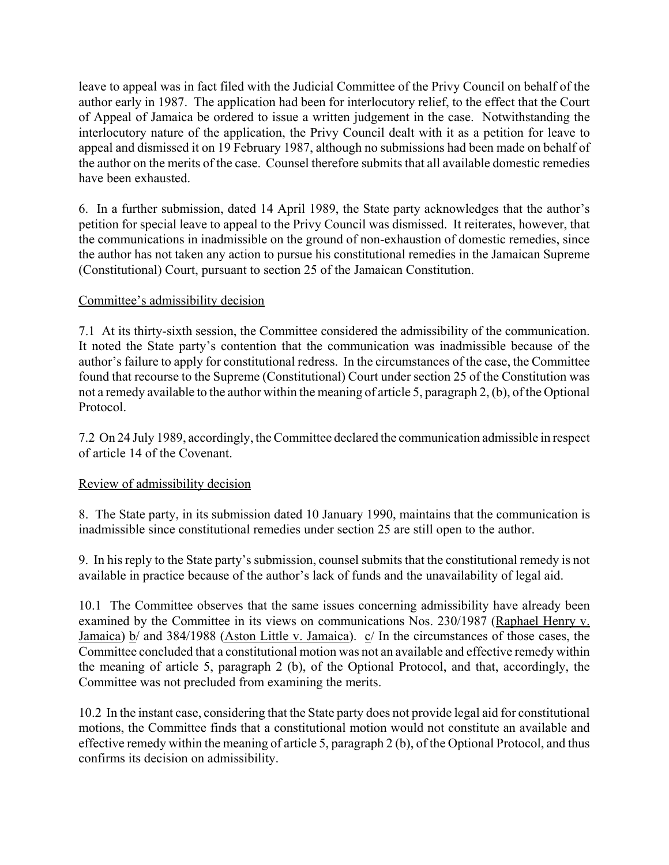leave to appeal was in fact filed with the Judicial Committee of the Privy Council on behalf of the author early in 1987. The application had been for interlocutory relief, to the effect that the Court of Appeal of Jamaica be ordered to issue a written judgement in the case. Notwithstanding the interlocutory nature of the application, the Privy Council dealt with it as a petition for leave to appeal and dismissed it on 19 February 1987, although no submissions had been made on behalf of the author on the merits of the case. Counsel therefore submits that all available domestic remedies have been exhausted.

6. In a further submission, dated 14 April 1989, the State party acknowledges that the author's petition for special leave to appeal to the Privy Council was dismissed. It reiterates, however, that the communications in inadmissible on the ground of non-exhaustion of domestic remedies, since the author has not taken any action to pursue his constitutional remedies in the Jamaican Supreme (Constitutional) Court, pursuant to section 25 of the Jamaican Constitution.

### Committee's admissibility decision

7.1 At its thirty-sixth session, the Committee considered the admissibility of the communication. It noted the State party's contention that the communication was inadmissible because of the author's failure to apply for constitutional redress. In the circumstances of the case, the Committee found that recourse to the Supreme (Constitutional) Court under section 25 of the Constitution was not a remedy available to the author within the meaning of article 5, paragraph 2, (b), of the Optional Protocol.

7.2 On 24 July 1989, accordingly, the Committee declared the communication admissible in respect of article 14 of the Covenant.

### Review of admissibility decision

8. The State party, in its submission dated 10 January 1990, maintains that the communication is inadmissible since constitutional remedies under section 25 are still open to the author.

9. In his reply to the State party's submission, counsel submits that the constitutional remedy is not available in practice because of the author's lack of funds and the unavailability of legal aid.

10.1 The Committee observes that the same issues concerning admissibility have already been examined by the Committee in its views on communications Nos. 230/1987 (Raphael Henry v. Jamaica) b/ and 384/1988 (Aston Little v. Jamaica). c/ In the circumstances of those cases, the Committee concluded that a constitutional motion was not an available and effective remedy within the meaning of article 5, paragraph 2 (b), of the Optional Protocol, and that, accordingly, the Committee was not precluded from examining the merits.

10.2 In the instant case, considering that the State party does not provide legal aid for constitutional motions, the Committee finds that a constitutional motion would not constitute an available and effective remedy within the meaning of article 5, paragraph 2 (b), of the Optional Protocol, and thus confirms its decision on admissibility.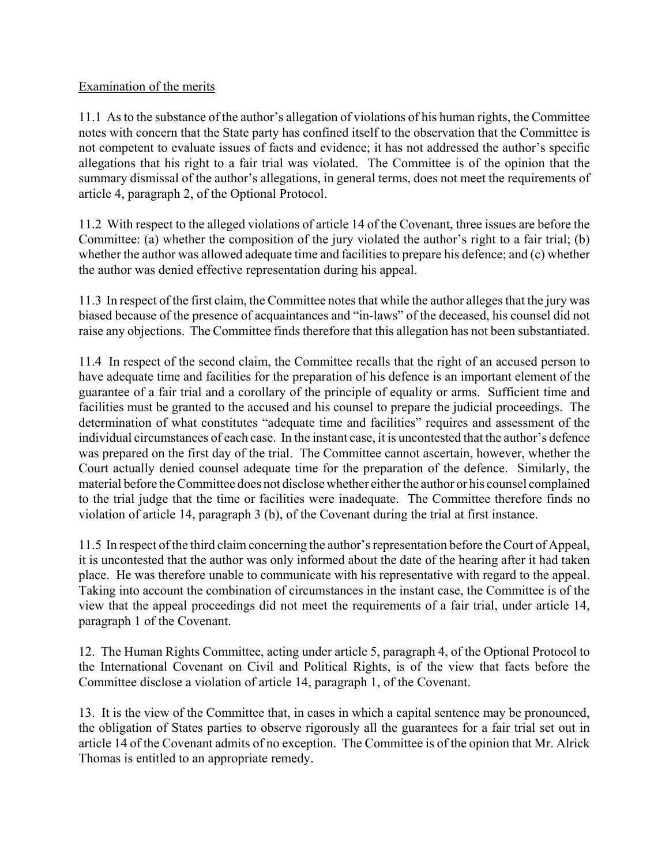### Examination of the merits

11.1 As to the substance of the author's allegation of violations of his human rights, the Committee notes with concern that the State party has confined itself to the observation that the Committee is not competent to evaluate issues of facts and evidence; it has not addressed the author's specific allegations that his right to a fair trial was violated. The Committee is of the opinion that the summary dismissal of the author's allegations, in general terms, does not meet the requirements of article 4, paragraph 2, of the Optional Protocol.

11.2 With respect to the alleged violations of article 14 of the Covenant, three issues are before the Committee: (a) whether the composition of the jury violated the author's right to a fair trial; (b) whether the author was allowed adequate time and facilities to prepare his defence; and (c) whether the author was denied effective representation during his appeal.

11.3 In respect of the first claim, the Committee notes that while the author alleges that the jury was biased because of the presence of acquaintances and "in-laws" of the deceased, his counsel did not raise any objections. The Committee finds therefore that this allegation has not been substantiated.

11.4 In respect of the second claim, the Committee recalls that the right of an accused person to have adequate time and facilities for the preparation of his defence is an important element of the guarantee of a fair trial and a corollary of the principle of equality or arms. Sufficient time and facilities must be granted to the accused and his counsel to prepare the judicial proceedings. The determination of what constitutes "adequate time and facilities" requires and assessment of the individual circumstances of each case. In the instant case, it is uncontested that the author's defence was prepared on the first day of the trial. The Committee cannot ascertain, however, whether the Court actually denied counsel adequate time for the preparation of the defence. Similarly, the material before the Committee does not disclose whether either the author or his counsel complained to the trial judge that the time or facilities were inadequate. The Committee therefore finds no violation of article 14, paragraph 3 (b), of the Covenant during the trial at first instance.

11.5 In respect of the third claim concerning the author's representation before the Court of Appeal, it is uncontested that the author was only informed about the date of the hearing after it had taken place. He was therefore unable to communicate with his representative with regard to the appeal. Taking into account the combination of circumstances in the instant case, the Committee is of the view that the appeal proceedings did not meet the requirements of a fair trial, under article 14, paragraph 1 of the Covenant.

12. The Human Rights Committee, acting under article 5, paragraph 4, of the Optional Protocol to the International Covenant on Civil and Political Rights, is of the view that facts before the Committee disclose a violation of article 14, paragraph 1, of the Covenant.

13. It is the view of the Committee that, in cases in which a capital sentence may be pronounced, the obligation of States parties to observe rigorously all the guarantees for a fair trial set out in article 14 of the Covenant admits of no exception. The Committee is of the opinion that Mr. Alrick Thomas is entitled to an appropriate remedy.